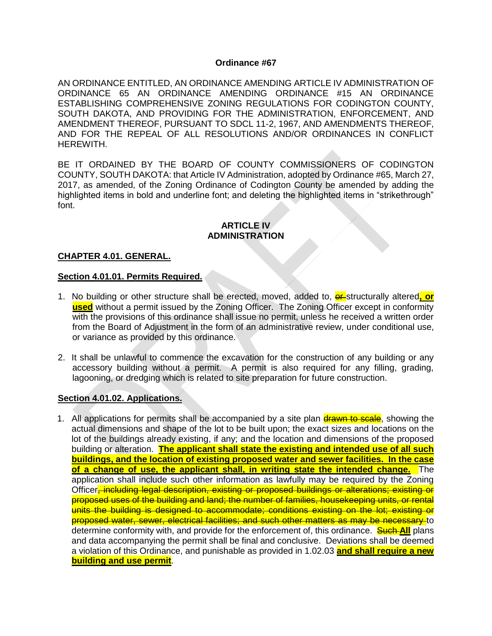#### **Ordinance #67**

AN ORDINANCE ENTITLED, AN ORDINANCE AMENDING ARTICLE IV ADMINISTRATION OF ORDINANCE 65 AN ORDINANCE AMENDING ORDINANCE #15 AN ORDINANCE ESTABLISHING COMPREHENSIVE ZONING REGULATIONS FOR CODINGTON COUNTY, SOUTH DAKOTA, AND PROVIDING FOR THE ADMINISTRATION, ENFORCEMENT, AND AMENDMENT THEREOF, PURSUANT TO SDCL 11-2, 1967, AND AMENDMENTS THEREOF, AND FOR THE REPEAL OF ALL RESOLUTIONS AND/OR ORDINANCES IN CONFLICT HEREWITH.

BE IT ORDAINED BY THE BOARD OF COUNTY COMMISSIONERS OF CODINGTON COUNTY, SOUTH DAKOTA: that Article IV Administration, adopted by Ordinance #65, March 27, 2017, as amended, of the Zoning Ordinance of Codington County be amended by adding the highlighted items in bold and underline font; and deleting the highlighted items in "strikethrough" font.

#### **ARTICLE IV ADMINISTRATION**

#### **CHAPTER 4.01. GENERAL.**

#### **Section 4.01.01. Permits Required.**

- 1. No building or other structure shall be erected, moved, added to, **er** structurally altered, or **used** without a permit issued by the Zoning Officer. The Zoning Officer except in conformity with the provisions of this ordinance shall issue no permit, unless he received a written order from the Board of Adjustment in the form of an administrative review, under conditional use, or variance as provided by this ordinance.
- 2. It shall be unlawful to commence the excavation for the construction of any building or any accessory building without a permit. A permit is also required for any filling, grading, lagooning, or dredging which is related to site preparation for future construction.

#### **Section 4.01.02. Applications.**

1. All applications for permits shall be accompanied by a site plan drawn to scale, showing the actual dimensions and shape of the lot to be built upon; the exact sizes and locations on the lot of the buildings already existing, if any; and the location and dimensions of the proposed building or alteration. **The applicant shall state the existing and intended use of all such buildings, and the location of existing proposed water and sewer facilities. In the case of a change of use, the applicant shall, in writing state the intended change.** The application shall include such other information as lawfully may be required by the Zoning Officer, including legal description, existing or proposed buildings or alterations; existing or proposed uses of the building and land; the number of families, housekeeping units, or rental units the building is designed to accommodate; conditions existing on the lot; existing or proposed water, sewer, electrical facilities; and such other matters as may be necessary to determine conformity with, and provide for the enforcement of, this ordinance. **Such All** plans and data accompanying the permit shall be final and conclusive. Deviations shall be deemed a violation of this Ordinance, and punishable as provided in 1.02.03 **and shall require a new building and use permit**.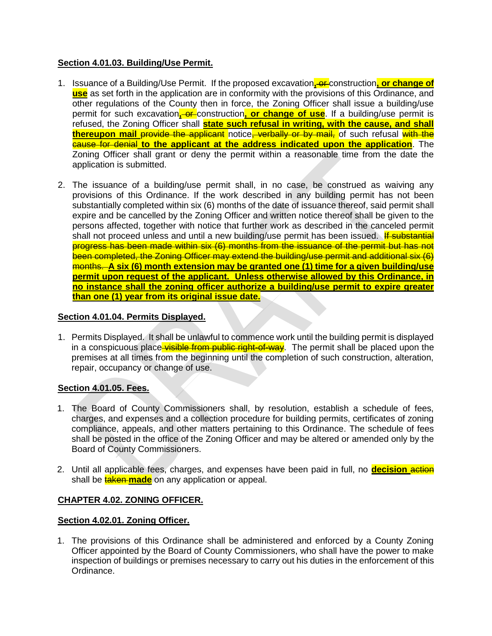# **Section 4.01.03. Building/Use Permit.**

- 1. Issuance of a Building/Use Permit. If the proposed excavation, or construction, or change of **use** as set forth in the application are in conformity with the provisions of this Ordinance, and other regulations of the County then in force, the Zoning Officer shall issue a building/use permit for such excavation, or construction, or change of use. If a building/use permit is refused, the Zoning Officer shall **state such refusal in writing, with the cause, and shall thereupon mail** *provide* **the applicant** notice, verbally or by mail, of such refusal with the cause for denial **to the applicant at the address indicated upon the application**. The Zoning Officer shall grant or deny the permit within a reasonable time from the date the application is submitted.
- 2. The issuance of a building/use permit shall, in no case, be construed as waiving any provisions of this Ordinance. If the work described in any building permit has not been substantially completed within six (6) months of the date of issuance thereof, said permit shall expire and be cancelled by the Zoning Officer and written notice thereof shall be given to the persons affected, together with notice that further work as described in the canceled permit shall not proceed unless and until a new building/use permit has been issued. If substantial progress has been made within six (6) months from the issuance of the permit but has not been completed, the Zoning Officer may extend the building/use permit and additional six (6) months. **A six (6) month extension may be granted one (1) time for a given building/use permit upon request of the applicant. Unless otherwise allowed by this Ordinance, in no instance shall the zoning officer authorize a building/use permit to expire greater than one (1) year from its original issue date.**

# **Section 4.01.04. Permits Displayed.**

1. Permits Displayed. It shall be unlawful to commence work until the building permit is displayed in a conspicuous place visible from public right-of-way. The permit shall be placed upon the premises at all times from the beginning until the completion of such construction, alteration, repair, occupancy or change of use.

## **Section 4.01.05. Fees.**

- 1. The Board of County Commissioners shall, by resolution, establish a schedule of fees, charges, and expenses and a collection procedure for building permits, certificates of zoning compliance, appeals, and other matters pertaining to this Ordinance. The schedule of fees shall be posted in the office of the Zoning Officer and may be altered or amended only by the Board of County Commissioners.
- 2. Until all applicable fees, charges, and expenses have been paid in full, no **decision** action shall be **taken made** on any application or appeal.

# **CHAPTER 4.02. ZONING OFFICER.**

## **Section 4.02.01. Zoning Officer.**

1. The provisions of this Ordinance shall be administered and enforced by a County Zoning Officer appointed by the Board of County Commissioners, who shall have the power to make inspection of buildings or premises necessary to carry out his duties in the enforcement of this Ordinance.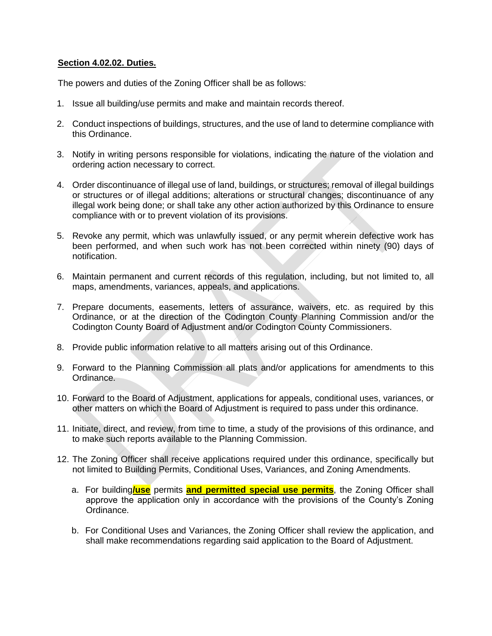### **Section 4.02.02. Duties.**

The powers and duties of the Zoning Officer shall be as follows:

- 1. Issue all building/use permits and make and maintain records thereof.
- 2. Conduct inspections of buildings, structures, and the use of land to determine compliance with this Ordinance.
- 3. Notify in writing persons responsible for violations, indicating the nature of the violation and ordering action necessary to correct.
- 4. Order discontinuance of illegal use of land, buildings, or structures; removal of illegal buildings or structures or of illegal additions; alterations or structural changes; discontinuance of any illegal work being done; or shall take any other action authorized by this Ordinance to ensure compliance with or to prevent violation of its provisions.
- 5. Revoke any permit, which was unlawfully issued, or any permit wherein defective work has been performed, and when such work has not been corrected within ninety (90) days of notification.
- 6. Maintain permanent and current records of this regulation, including, but not limited to, all maps, amendments, variances, appeals, and applications.
- 7. Prepare documents, easements, letters of assurance, waivers, etc. as required by this Ordinance, or at the direction of the Codington County Planning Commission and/or the Codington County Board of Adjustment and/or Codington County Commissioners.
- 8. Provide public information relative to all matters arising out of this Ordinance.
- 9. Forward to the Planning Commission all plats and/or applications for amendments to this Ordinance.
- 10. Forward to the Board of Adjustment, applications for appeals, conditional uses, variances, or other matters on which the Board of Adjustment is required to pass under this ordinance.
- 11. Initiate, direct, and review, from time to time, a study of the provisions of this ordinance, and to make such reports available to the Planning Commission.
- 12. The Zoning Officer shall receive applications required under this ordinance, specifically but not limited to Building Permits, Conditional Uses, Variances, and Zoning Amendments.
	- a. For building**/use** permits **and permitted special use permits**, the Zoning Officer shall approve the application only in accordance with the provisions of the County's Zoning Ordinance.
	- b. For Conditional Uses and Variances, the Zoning Officer shall review the application, and shall make recommendations regarding said application to the Board of Adjustment.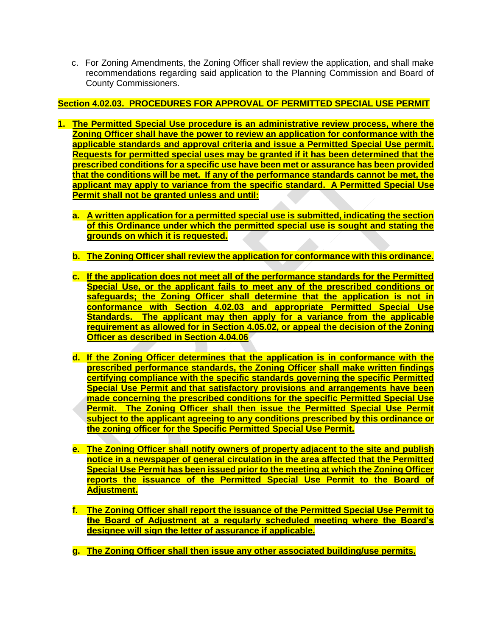c. For Zoning Amendments, the Zoning Officer shall review the application, and shall make recommendations regarding said application to the Planning Commission and Board of County Commissioners.

# **Section 4.02.03. PROCEDURES FOR APPROVAL OF PERMITTED SPECIAL USE PERMIT**

- **1. The Permitted Special Use procedure is an administrative review process, where the Zoning Officer shall have the power to review an application for conformance with the applicable standards and approval criteria and issue a Permitted Special Use permit. Requests for permitted special uses may be granted if it has been determined that the prescribed conditions for a specific use have been met or assurance has been provided that the conditions will be met. If any of the performance standards cannot be met, the applicant may apply to variance from the specific standard. A Permitted Special Use Permit shall not be granted unless and until:**
	- **a. A written application for a permitted special use is submitted, indicating the section of this Ordinance under which the permitted special use is sought and stating the grounds on which it is requested.**
	- **b. The Zoning Officer shall review the application for conformance with this ordinance.**
	- **c. If the application does not meet all of the performance standards for the Permitted Special Use, or the applicant fails to meet any of the prescribed conditions or safeguards; the Zoning Officer shall determine that the application is not in conformance with Section 4.02.03 and appropriate Permitted Special Use Standards. The applicant may then apply for a variance from the applicable requirement as allowed for in Section 4.05.02, or appeal the decision of the Zoning Officer as described in Section 4.04.06**
	- **d. If the Zoning Officer determines that the application is in conformance with the prescribed performance standards, the Zoning Officer shall make written findings certifying compliance with the specific standards governing the specific Permitted Special Use Permit and that satisfactory provisions and arrangements have been made concerning the prescribed conditions for the specific Permitted Special Use Permit. The Zoning Officer shall then issue the Permitted Special Use Permit subject to the applicant agreeing to any conditions prescribed by this ordinance or the zoning officer for the Specific Permitted Special Use Permit.**
	- **e. The Zoning Officer shall notify owners of property adjacent to the site and publish notice in a newspaper of general circulation in the area affected that the Permitted Special Use Permit has been issued prior to the meeting at which the Zoning Officer reports the issuance of the Permitted Special Use Permit to the Board of Adjustment.**
	- **f. The Zoning Officer shall report the issuance of the Permitted Special Use Permit to the Board of Adjustment at a regularly scheduled meeting where the Board's designee will sign the letter of assurance if applicable.**
	- **g. The Zoning Officer shall then issue any other associated building/use permits.**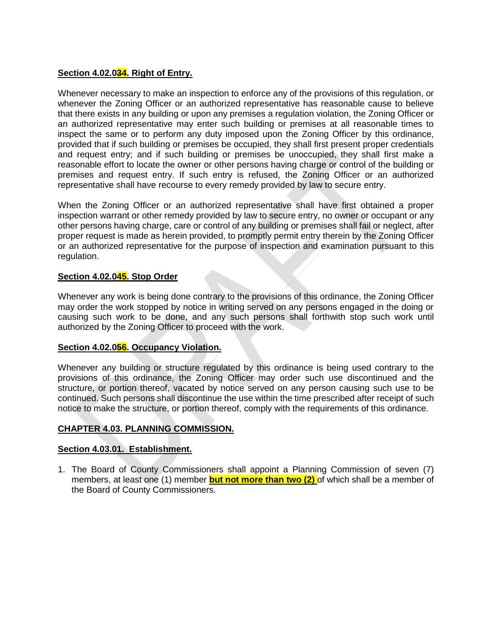#### **Section 4.02.034. Right of Entry.**

Whenever necessary to make an inspection to enforce any of the provisions of this regulation, or whenever the Zoning Officer or an authorized representative has reasonable cause to believe that there exists in any building or upon any premises a regulation violation, the Zoning Officer or an authorized representative may enter such building or premises at all reasonable times to inspect the same or to perform any duty imposed upon the Zoning Officer by this ordinance, provided that if such building or premises be occupied, they shall first present proper credentials and request entry; and if such building or premises be unoccupied, they shall first make a reasonable effort to locate the owner or other persons having charge or control of the building or premises and request entry. If such entry is refused, the Zoning Officer or an authorized representative shall have recourse to every remedy provided by law to secure entry.

When the Zoning Officer or an authorized representative shall have first obtained a proper inspection warrant or other remedy provided by law to secure entry, no owner or occupant or any other persons having charge, care or control of any building or premises shall fail or neglect, after proper request is made as herein provided, to promptly permit entry therein by the Zoning Officer or an authorized representative for the purpose of inspection and examination pursuant to this regulation.

#### **Section 4.02.045. Stop Order**

Whenever any work is being done contrary to the provisions of this ordinance, the Zoning Officer may order the work stopped by notice in writing served on any persons engaged in the doing or causing such work to be done, and any such persons shall forthwith stop such work until authorized by the Zoning Officer to proceed with the work.

#### **Section 4.02.056. Occupancy Violation.**

Whenever any building or structure regulated by this ordinance is being used contrary to the provisions of this ordinance, the Zoning Officer may order such use discontinued and the structure, or portion thereof, vacated by notice served on any person causing such use to be continued. Such persons shall discontinue the use within the time prescribed after receipt of such notice to make the structure, or portion thereof, comply with the requirements of this ordinance.

#### **CHAPTER 4.03. PLANNING COMMISSION.**

#### **Section 4.03.01. Establishment.**

1. The Board of County Commissioners shall appoint a Planning Commission of seven (7) members, at least one (1) member **but not more than two (2)** of which shall be a member of the Board of County Commissioners.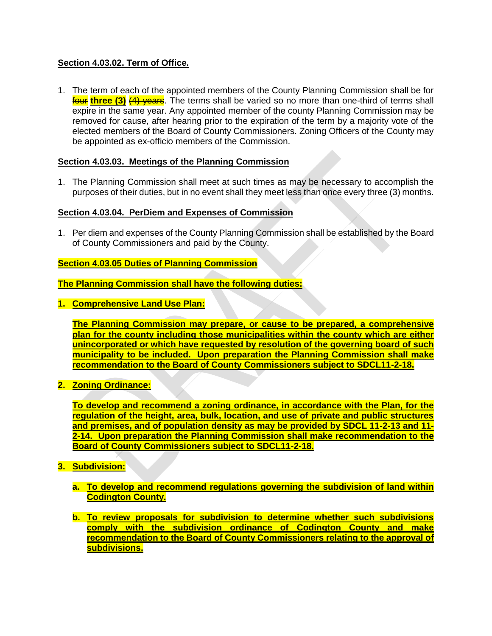## **Section 4.03.02. Term of Office.**

1. The term of each of the appointed members of the County Planning Commission shall be for **four three (3) (4) years**. The terms shall be varied so no more than one-third of terms shall expire in the same year. Any appointed member of the county Planning Commission may be removed for cause, after hearing prior to the expiration of the term by a majority vote of the elected members of the Board of County Commissioners. Zoning Officers of the County may be appointed as ex-officio members of the Commission.

## **Section 4.03.03. Meetings of the Planning Commission**

1. The Planning Commission shall meet at such times as may be necessary to accomplish the purposes of their duties, but in no event shall they meet less than once every three (3) months.

## **Section 4.03.04. PerDiem and Expenses of Commission**

1. Per diem and expenses of the County Planning Commission shall be established by the Board of County Commissioners and paid by the County.

# **Section 4.03.05 Duties of Planning Commission**

**The Planning Commission shall have the following duties:**

**1. Comprehensive Land Use Plan:**

**The Planning Commission may prepare, or cause to be prepared, a comprehensive plan for the county including those municipalities within the county which are either unincorporated or which have requested by resolution of the governing board of such municipality to be included. Upon preparation the Planning Commission shall make recommendation to the Board of County Commissioners subject to SDCL11-2-18.**

**2. Zoning Ordinance:**

**To develop and recommend a zoning ordinance, in accordance with the Plan, for the regulation of the height, area, bulk, location, and use of private and public structures and premises, and of population density as may be provided by SDCL 11-2-13 and 11- 2-14. Upon preparation the Planning Commission shall make recommendation to the Board of County Commissioners subject to SDCL11-2-18.**

- **3. Subdivision:**
	- **a. To develop and recommend regulations governing the subdivision of land within Codington County.**
	- **b. To review proposals for subdivision to determine whether such subdivisions comply with the subdivision ordinance of Codington County and make recommendation to the Board of County Commissioners relating to the approval of subdivisions.**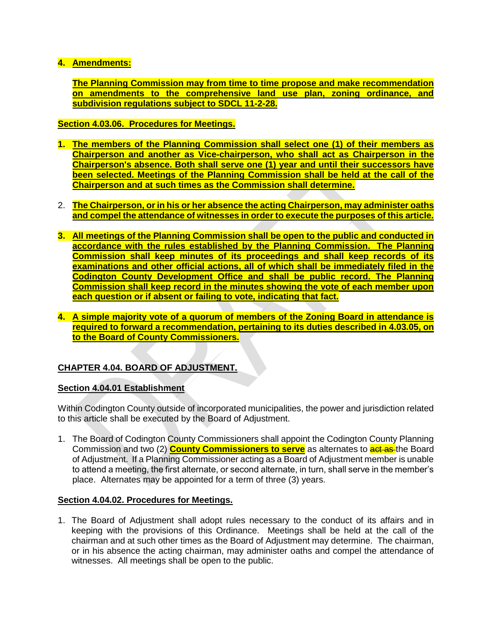# **4. Amendments:**

**The Planning Commission may from time to time propose and make recommendation on amendments to the comprehensive land use plan, zoning ordinance, and subdivision regulations subject to SDCL 11-2-28.**

**Section 4.03.06. Procedures for Meetings.**

- **1. The members of the Planning Commission shall select one (1) of their members as Chairperson and another as Vice-chairperson, who shall act as Chairperson in the Chairperson's absence. Both shall serve one (1) year and until their successors have been selected. Meetings of the Planning Commission shall be held at the call of the Chairperson and at such times as the Commission shall determine.**
- 2. **The Chairperson, or in his or her absence the acting Chairperson, may administer oaths and compel the attendance of witnesses in order to execute the purposes of this article.**
- **3. All meetings of the Planning Commission shall be open to the public and conducted in accordance with the rules established by the Planning Commission. The Planning Commission shall keep minutes of its proceedings and shall keep records of its examinations and other official actions, all of which shall be immediately filed in the Codington County Development Office and shall be public record. The Planning Commission shall keep record in the minutes showing the vote of each member upon each question or if absent or failing to vote, indicating that fact.**
- **4. A simple majority vote of a quorum of members of the Zoning Board in attendance is required to forward a recommendation, pertaining to its duties described in 4.03.05, on to the Board of County Commissioners.**

# **CHAPTER 4.04. BOARD OF ADJUSTMENT.**

## **Section 4.04.01 Establishment**

Within Codington County outside of incorporated municipalities, the power and jurisdiction related to this article shall be executed by the Board of Adjustment.

1. The Board of Codington County Commissioners shall appoint the Codington County Planning Commission and two (2) **County Commissioners to serve** as alternates to act as the Board of Adjustment. If a Planning Commissioner acting as a Board of Adjustment member is unable to attend a meeting, the first alternate, or second alternate, in turn, shall serve in the member's place. Alternates may be appointed for a term of three (3) years.

#### **Section 4.04.02. Procedures for Meetings.**

1. The Board of Adjustment shall adopt rules necessary to the conduct of its affairs and in keeping with the provisions of this Ordinance. Meetings shall be held at the call of the chairman and at such other times as the Board of Adjustment may determine. The chairman, or in his absence the acting chairman, may administer oaths and compel the attendance of witnesses. All meetings shall be open to the public.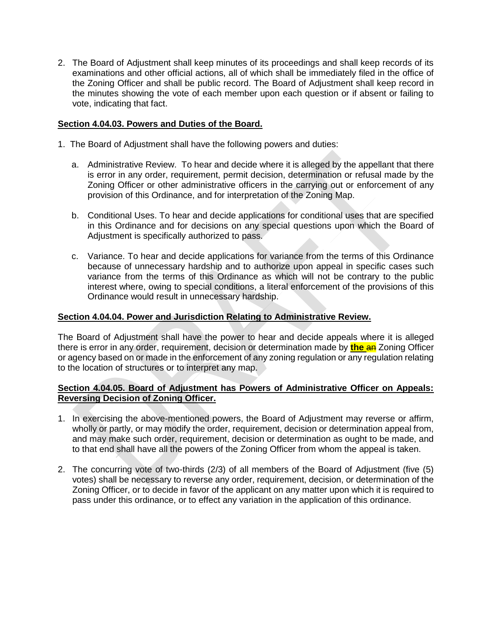2. The Board of Adjustment shall keep minutes of its proceedings and shall keep records of its examinations and other official actions, all of which shall be immediately filed in the office of the Zoning Officer and shall be public record. The Board of Adjustment shall keep record in the minutes showing the vote of each member upon each question or if absent or failing to vote, indicating that fact.

## **Section 4.04.03. Powers and Duties of the Board.**

- 1. The Board of Adjustment shall have the following powers and duties:
	- a. Administrative Review. To hear and decide where it is alleged by the appellant that there is error in any order, requirement, permit decision, determination or refusal made by the Zoning Officer or other administrative officers in the carrying out or enforcement of any provision of this Ordinance, and for interpretation of the Zoning Map.
	- b. Conditional Uses. To hear and decide applications for conditional uses that are specified in this Ordinance and for decisions on any special questions upon which the Board of Adjustment is specifically authorized to pass.
	- c. Variance. To hear and decide applications for variance from the terms of this Ordinance because of unnecessary hardship and to authorize upon appeal in specific cases such variance from the terms of this Ordinance as which will not be contrary to the public interest where, owing to special conditions, a literal enforcement of the provisions of this Ordinance would result in unnecessary hardship.

### **Section 4.04.04. Power and Jurisdiction Relating to Administrative Review.**

The Board of Adjustment shall have the power to hear and decide appeals where it is alleged there is error in any order, requirement, decision or determination made by **the** an Zoning Officer or agency based on or made in the enforcement of any zoning regulation or any regulation relating to the location of structures or to interpret any map.

#### **Section 4.04.05. Board of Adjustment has Powers of Administrative Officer on Appeals: Reversing Decision of Zoning Officer.**

- 1. In exercising the above-mentioned powers, the Board of Adjustment may reverse or affirm, wholly or partly, or may modify the order, requirement, decision or determination appeal from, and may make such order, requirement, decision or determination as ought to be made, and to that end shall have all the powers of the Zoning Officer from whom the appeal is taken.
- 2. The concurring vote of two-thirds (2/3) of all members of the Board of Adjustment (five (5) votes) shall be necessary to reverse any order, requirement, decision, or determination of the Zoning Officer, or to decide in favor of the applicant on any matter upon which it is required to pass under this ordinance, or to effect any variation in the application of this ordinance.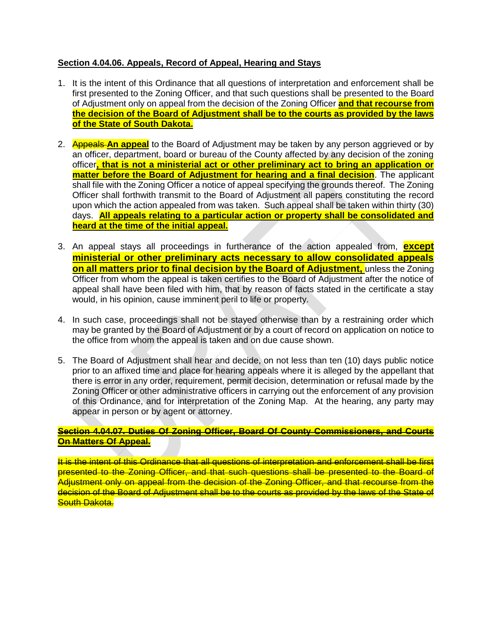## **Section 4.04.06. Appeals, Record of Appeal, Hearing and Stays**

- 1. It is the intent of this Ordinance that all questions of interpretation and enforcement shall be first presented to the Zoning Officer, and that such questions shall be presented to the Board of Adjustment only on appeal from the decision of the Zoning Officer **and that recourse from the decision of the Board of Adjustment shall be to the courts as provided by the laws of the State of South Dakota.**
- 2. Appeals **An appeal** to the Board of Adjustment may be taken by any person aggrieved or by an officer, department, board or bureau of the County affected by any decision of the zoning officer**, that is not a ministerial act or other preliminary act to bring an application or matter before the Board of Adjustment for hearing and a final decision**. The applicant shall file with the Zoning Officer a notice of appeal specifying the grounds thereof. The Zoning Officer shall forthwith transmit to the Board of Adjustment all papers constituting the record upon which the action appealed from was taken. Such appeal shall be taken within thirty (30) days. **All appeals relating to a particular action or property shall be consolidated and heard at the time of the initial appeal.**
- 3. An appeal stays all proceedings in furtherance of the action appealed from, **except ministerial or other preliminary acts necessary to allow consolidated appeals on all matters prior to final decision by the Board of Adjustment,** unless the Zoning Officer from whom the appeal is taken certifies to the Board of Adjustment after the notice of appeal shall have been filed with him, that by reason of facts stated in the certificate a stay would, in his opinion, cause imminent peril to life or property.
- 4. In such case, proceedings shall not be stayed otherwise than by a restraining order which may be granted by the Board of Adjustment or by a court of record on application on notice to the office from whom the appeal is taken and on due cause shown.
- 5. The Board of Adjustment shall hear and decide, on not less than ten (10) days public notice prior to an affixed time and place for hearing appeals where it is alleged by the appellant that there is error in any order, requirement, permit decision, determination or refusal made by the Zoning Officer or other administrative officers in carrying out the enforcement of any provision of this Ordinance, and for interpretation of the Zoning Map. At the hearing, any party may appear in person or by agent or attorney.

#### **Section 4.04.07. Duties Of Zoning Officer, Board Of County Commissioners, and Courts On Matters Of Appeal.**

It is the intent of this Ordinance that all questions of interpretation and enforcement shall be first presented to the Zoning Officer, and that such questions shall be presented to the Board of Adjustment only on appeal from the decision of the Zoning Officer, and that recourse from the decision of the Board of Adjustment shall be to the courts as provided by the laws of the State of **South Dakota.**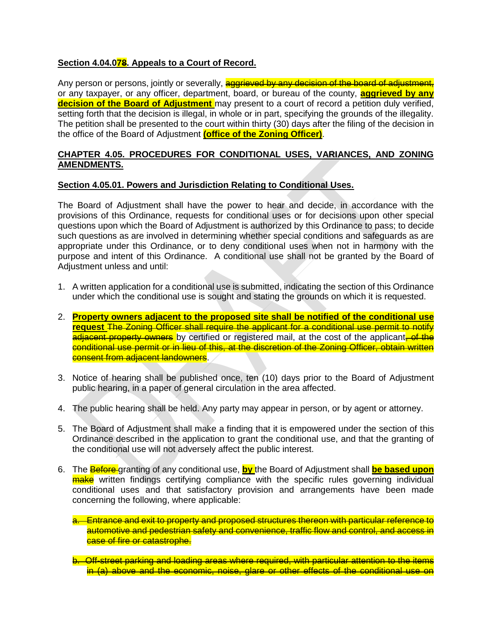# **Section 4.04.078. Appeals to a Court of Record.**

Any person or persons, jointly or severally, aggrieved by any decision of the board of adjustment, or any taxpayer, or any officer, department, board, or bureau of the county, **aggrieved by any decision of the Board of Adjustment** may present to a court of record a petition duly verified, setting forth that the decision is illegal, in whole or in part, specifying the grounds of the illegality. The petition shall be presented to the court within thirty (30) days after the filing of the decision in the office of the Board of Adjustment **(office of the Zoning Officer)**.

### **CHAPTER 4.05. PROCEDURES FOR CONDITIONAL USES, VARIANCES, AND ZONING AMENDMENTS.**

## **Section 4.05.01. Powers and Jurisdiction Relating to Conditional Uses.**

The Board of Adjustment shall have the power to hear and decide, in accordance with the provisions of this Ordinance, requests for conditional uses or for decisions upon other special questions upon which the Board of Adjustment is authorized by this Ordinance to pass; to decide such questions as are involved in determining whether special conditions and safeguards as are appropriate under this Ordinance, or to deny conditional uses when not in harmony with the purpose and intent of this Ordinance. A conditional use shall not be granted by the Board of Adjustment unless and until:

- 1. A written application for a conditional use is submitted, indicating the section of this Ordinance under which the conditional use is sought and stating the grounds on which it is requested.
- 2. **Property owners adjacent to the proposed site shall be notified of the conditional use request** The Zoning Officer shall require the applicant for a conditional use permit to notify adjacent property owners by certified or registered mail, at the cost of the applicant, of the conditional use permit or in lieu of this, at the discretion of the Zoning Officer, obtain written **consent from adjacent landowners**.
- 3. Notice of hearing shall be published once, ten (10) days prior to the Board of Adjustment public hearing, in a paper of general circulation in the area affected.
- 4. The public hearing shall be held. Any party may appear in person, or by agent or attorney.
- 5. The Board of Adjustment shall make a finding that it is empowered under the section of this Ordinance described in the application to grant the conditional use, and that the granting of the conditional use will not adversely affect the public interest.
- 6. The Before granting of any conditional use, **by** the Board of Adjustment shall **be based upon** make written findings certifying compliance with the specific rules governing individual conditional uses and that satisfactory provision and arrangements have been made concerning the following, where applicable:
	- a. Entrance and exit to property and proposed structures thereon with particular reference to automotive and pedestrian safety and convenience, traffic flow and control, and access in case of fire or catastrophe.
	- b. Off-street parking and loading areas where required, with particular attention to the items in (a) above and the economic, noise, glare or other effects of the conditional use on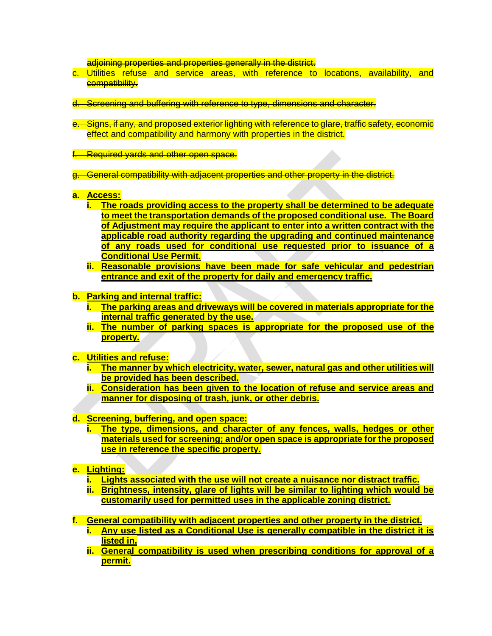adjoining properties and properties generally in the district.

- c. Utilities refuse and service areas, with reference to locations, availability, and compatibility.
- d. Screening and buffering with reference to type, dimensions and character.
- e. Signs, if any, and proposed exterior lighting with reference to glare, traffic safety, economic effect and compatibility and harmony with properties in the district.
- f. Required yards and other open space.
- g. General compatibility with adjacent properties and other property in the district.
- **a. Access:**
	- **i. The roads providing access to the property shall be determined to be adequate to meet the transportation demands of the proposed conditional use. The Board of Adjustment may require the applicant to enter into a written contract with the applicable road authority regarding the upgrading and continued maintenance of any roads used for conditional use requested prior to issuance of a Conditional Use Permit.**
	- **ii. Reasonable provisions have been made for safe vehicular and pedestrian entrance and exit of the property for daily and emergency traffic.**
- **b. Parking and internal traffic:**
	- **i. The parking areas and driveways will be covered in materials appropriate for the internal traffic generated by the use.**
	- **ii. The number of parking spaces is appropriate for the proposed use of the property.**
- **c. Utilities and refuse:** 
	- **i. The manner by which electricity, water, sewer, natural gas and other utilities will be provided has been described.**
	- **ii. Consideration has been given to the location of refuse and service areas and manner for disposing of trash, junk, or other debris.**
- **d. Screening, buffering, and open space:**
	- **i. The type, dimensions, and character of any fences, walls, hedges or other materials used for screening; and/or open space is appropriate for the proposed use in reference the specific property.**
- **e. Lighting:**
	- **i. Lights associated with the use will not create a nuisance nor distract traffic.**
	- **ii. Brightness, intensity, glare of lights will be similar to lighting which would be customarily used for permitted uses in the applicable zoning district.**
- **f. General compatibility with adjacent properties and other property in the district. i. Any use listed as a Conditional Use is generally compatible in the district it is listed in.**
	- **ii. General compatibility is used when prescribing conditions for approval of a permit.**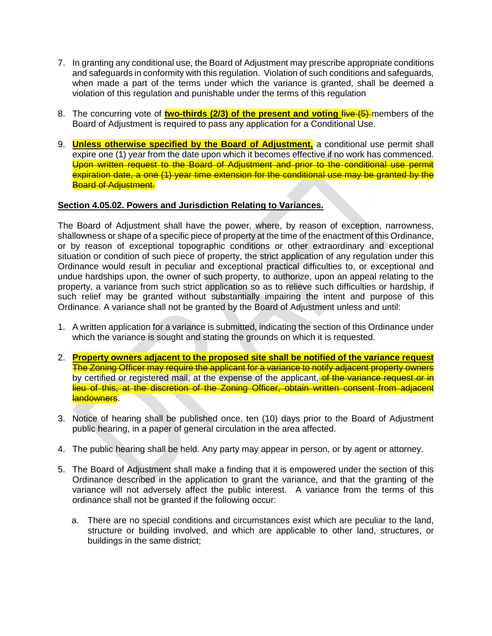- 7. In granting any conditional use, the Board of Adjustment may prescribe appropriate conditions and safeguards in conformity with this regulation. Violation of such conditions and safeguards, when made a part of the terms under which the variance is granted, shall be deemed a violation of this regulation and punishable under the terms of this regulation
- 8. The concurring vote of **two-thirds (2/3) of the present and voting** five (5) members of the Board of Adjustment is required to pass any application for a Conditional Use.
- 9. **Unless otherwise specified by the Board of Adjustment,** a conditional use permit shall expire one (1) year from the date upon which it becomes effective if no work has commenced. Upon written request to the Board of Adjustment and prior to the conditional use permit expiration date, a one (1) year time extension for the conditional use may be granted by the **Board of Adjustment.**

# **Section 4.05.02. Powers and Jurisdiction Relating to Variances.**

The Board of Adjustment shall have the power, where, by reason of exception, narrowness, shallowness or shape of a specific piece of property at the time of the enactment of this Ordinance, or by reason of exceptional topographic conditions or other extraordinary and exceptional situation or condition of such piece of property, the strict application of any regulation under this Ordinance would result in peculiar and exceptional practical difficulties to, or exceptional and undue hardships upon, the owner of such property, to authorize, upon an appeal relating to the property, a variance from such strict application so as to relieve such difficulties or hardship, if such relief may be granted without substantially impairing the intent and purpose of this Ordinance. A variance shall not be granted by the Board of Adjustment unless and until:

- 1. A written application for a variance is submitted, indicating the section of this Ordinance under which the variance is sought and stating the grounds on which it is requested.
- 2. **Property owners adjacent to the proposed site shall be notified of the variance request** The Zoning Officer may require the applicant for a variance to notify adjacent property owners by certified or registered mail, at the expense of the applicant, of the variance request or in lieu of this, at the discretion of the Zoning Officer, obtain written consent from adjacent landowners.
- 3. Notice of hearing shall be published once, ten (10) days prior to the Board of Adjustment public hearing, in a paper of general circulation in the area affected.
- 4. The public hearing shall be held. Any party may appear in person, or by agent or attorney.
- 5. The Board of Adjustment shall make a finding that it is empowered under the section of this Ordinance described in the application to grant the variance, and that the granting of the variance will not adversely affect the public interest. A variance from the terms of this ordinance shall not be granted if the following occur:
	- a. There are no special conditions and circumstances exist which are peculiar to the land, structure or building involved, and which are applicable to other land, structures, or buildings in the same district;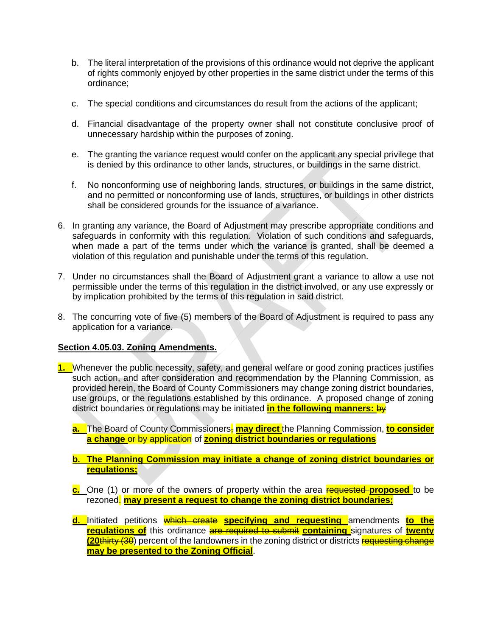- b. The literal interpretation of the provisions of this ordinance would not deprive the applicant of rights commonly enjoyed by other properties in the same district under the terms of this ordinance;
- c. The special conditions and circumstances do result from the actions of the applicant;
- d. Financial disadvantage of the property owner shall not constitute conclusive proof of unnecessary hardship within the purposes of zoning.
- e. The granting the variance request would confer on the applicant any special privilege that is denied by this ordinance to other lands, structures, or buildings in the same district.
- f. No nonconforming use of neighboring lands, structures, or buildings in the same district, and no permitted or nonconforming use of lands, structures, or buildings in other districts shall be considered grounds for the issuance of a variance.
- 6. In granting any variance, the Board of Adjustment may prescribe appropriate conditions and safeguards in conformity with this regulation. Violation of such conditions and safeguards, when made a part of the terms under which the variance is granted, shall be deemed a violation of this regulation and punishable under the terms of this regulation.
- 7. Under no circumstances shall the Board of Adjustment grant a variance to allow a use not permissible under the terms of this regulation in the district involved, or any use expressly or by implication prohibited by the terms of this regulation in said district.
- 8. The concurring vote of five (5) members of the Board of Adjustment is required to pass any application for a variance.

## **Section 4.05.03. Zoning Amendments.**

- **1.** Whenever the public necessity, safety, and general welfare or good zoning practices justifies such action, and after consideration and recommendation by the Planning Commission, as provided herein, the Board of County Commissioners may change zoning district boundaries, use groups, or the regulations established by this ordinance. A proposed change of zoning district boundaries or regulations may be initiated **in the following manners:** by
	- **a.** The Board of County Commissioners, may direct the Planning Commission, to consider **a change** or by application of **zoning district boundaries or regulations**
	- **b. The Planning Commission may initiate a change of zoning district boundaries or regulations;**
	- **c.** One (1) or more of the owners of property within the area requested **proposed** to be rezoned. **may present a request to change the zoning district boundaries;**
	- **d.** Initiated petitions which create **specifying and requesting** amendments **to the regulations of** this ordinance are required to submit **containing** signatures of **twenty (20thirty (30)** percent of the landowners in the zoning district or districts requesting change **may be presented to the Zoning Official**.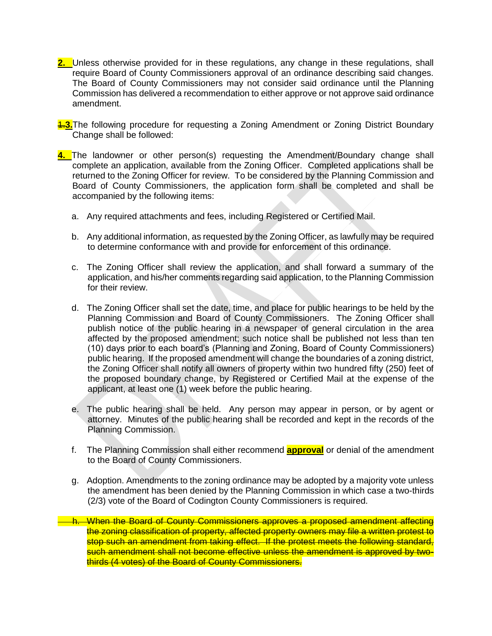**2.** Unless otherwise provided for in these regulations, any change in these regulations, shall require Board of County Commissioners approval of an ordinance describing said changes. The Board of County Commissioners may not consider said ordinance until the Planning Commission has delivered a recommendation to either approve or not approve said ordinance amendment.

1.**3.**The following procedure for requesting a Zoning Amendment or Zoning District Boundary Change shall be followed:

- **4.** The landowner or other person(s) requesting the Amendment/Boundary change shall complete an application, available from the Zoning Officer. Completed applications shall be returned to the Zoning Officer for review. To be considered by the Planning Commission and Board of County Commissioners, the application form shall be completed and shall be accompanied by the following items:
	- a. Any required attachments and fees, including Registered or Certified Mail.
	- b. Any additional information, as requested by the Zoning Officer, as lawfully may be required to determine conformance with and provide for enforcement of this ordinance.
	- c. The Zoning Officer shall review the application, and shall forward a summary of the application, and his/her comments regarding said application, to the Planning Commission for their review.
	- d. The Zoning Officer shall set the date, time, and place for public hearings to be held by the Planning Commission and Board of County Commissioners. The Zoning Officer shall publish notice of the public hearing in a newspaper of general circulation in the area affected by the proposed amendment; such notice shall be published not less than ten (10) days prior to each board's (Planning and Zoning, Board of County Commissioners) public hearing. If the proposed amendment will change the boundaries of a zoning district, the Zoning Officer shall notify all owners of property within two hundred fifty (250) feet of the proposed boundary change, by Registered or Certified Mail at the expense of the applicant, at least one (1) week before the public hearing.
	- e. The public hearing shall be held. Any person may appear in person, or by agent or attorney. Minutes of the public hearing shall be recorded and kept in the records of the Planning Commission.
	- f. The Planning Commission shall either recommend **approval** or denial of the amendment to the Board of County Commissioners.
	- g. Adoption. Amendments to the zoning ordinance may be adopted by a majority vote unless the amendment has been denied by the Planning Commission in which case a two-thirds (2/3) vote of the Board of Codington County Commissioners is required.
	- h. When the Board of County Commissioners approves a proposed amendment affecting the zoning classification of property, affected property owners may file a written protest to stop such an amendment from taking effect. If the protest meets the following standard, such amendment shall not become effective unless the amendment is approved by twothirds (4 votes) of the Board of County Commissioners.